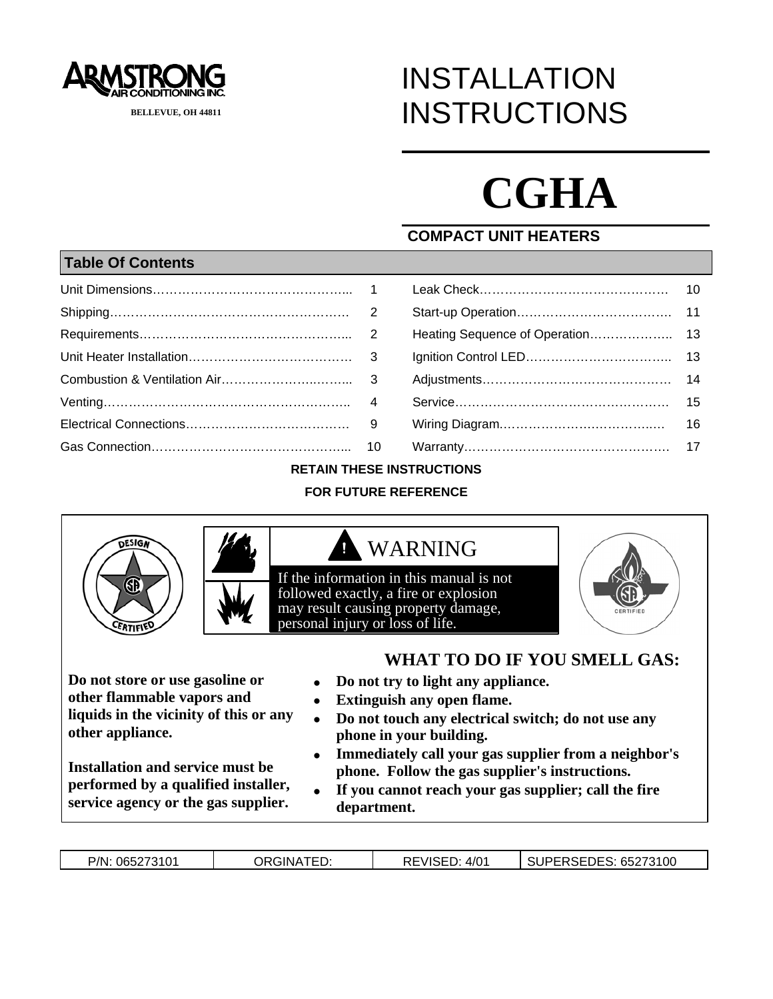

# INSTALLATION **INSTRUCTIONS**

# **CGHA**

#### **COMPACT UNIT HEATERS**

#### **Table Of Contents**

|                               | 10 |
|-------------------------------|----|
|                               | 11 |
| Heating Sequence of Operation | 13 |
|                               | 13 |
|                               | 14 |
|                               | 15 |
|                               | 16 |
|                               | 17 |

#### **RETAIN THESE INSTRUCTIONS**

#### **FOR FUTURE REFERENCE**



**Do not store or use gasoline or other flammable vapors and liquids in the vicinity of this or any other appliance.**

**Installation and service must be performed by a qualified installer, service agency or the gas supplier.**

- **Do not try to light any appliance.**
- **Extinguish any open flame.**
- **Do not touch any electrical switch; do not use any phone in your building.**
- **Immediately call your gas supplier from a neighbor's phone. Follow the gas supplier's instructions.**
- **If you cannot reach your gas supplier; call the fire department.**

|  | P/N: 065273101 | <b>ORGINATED:</b> | REVISED.<br>4/0 <sup>4</sup> | SUPERSEDES: 65273100 |
|--|----------------|-------------------|------------------------------|----------------------|
|--|----------------|-------------------|------------------------------|----------------------|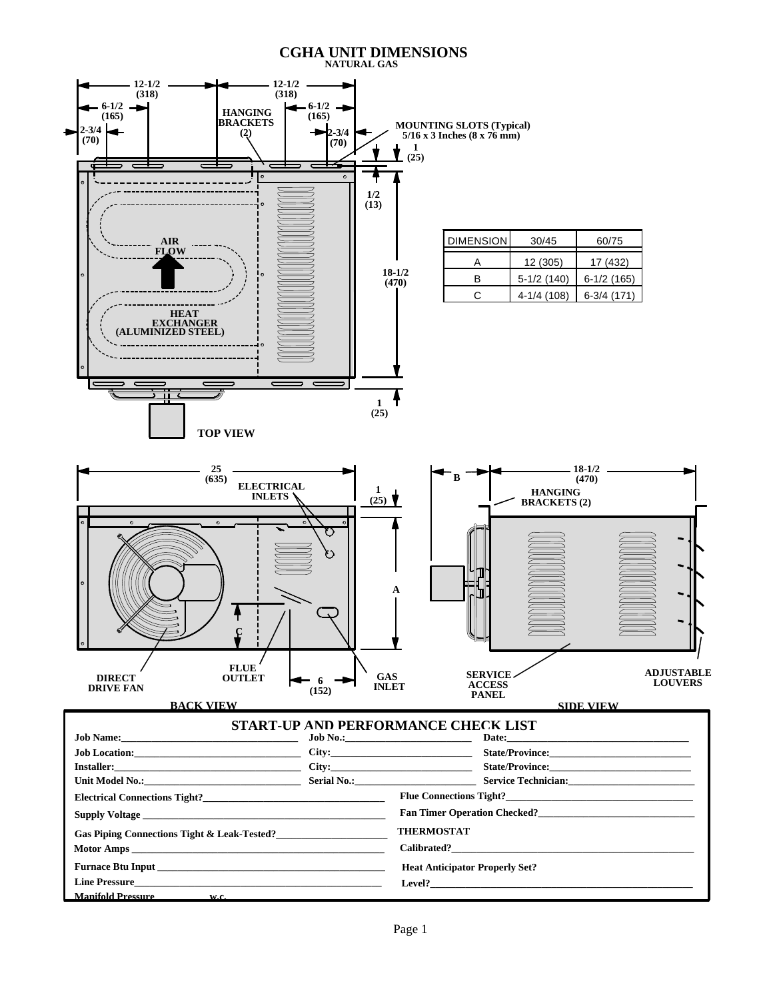### **CGHA UNIT DIMENSIONS NATURAL GAS**

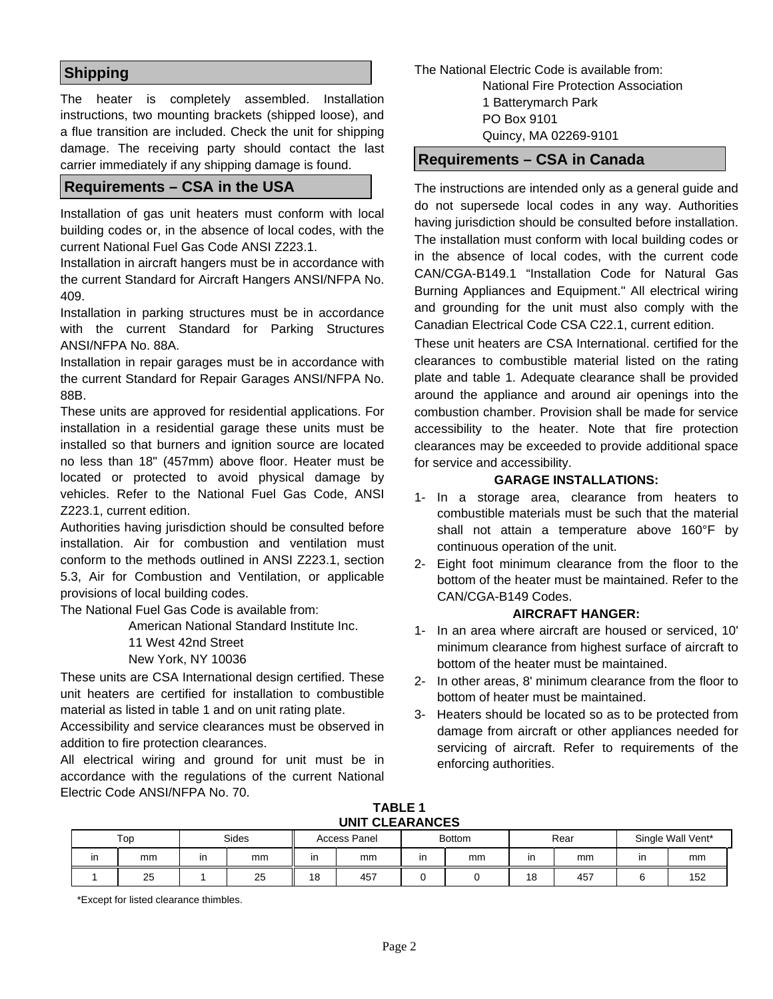#### **Shipping**

The heater is completely assembled. Installation instructions, two mounting brackets (shipped loose), and a flue transition are included. Check the unit for shipping damage. The receiving party should contact the last carrier immediately if any shipping damage is found.

#### **Requirements – CSA in the USA**

Installation of gas unit heaters must conform with local building codes or, in the absence of local codes, with the current National Fuel Gas Code ANSI Z223.1.

Installation in aircraft hangers must be in accordance with the current Standard for Aircraft Hangers ANSI/NFPA No. 409.

Installation in parking structures must be in accordance with the current Standard for Parking Structures ANSI/NFPA No. 88A.

Installation in repair garages must be in accordance with the current Standard for Repair Garages ANSI/NFPA No. 88B.

These units are approved for residential applications. For installation in a residential garage these units must be installed so that burners and ignition source are located no less than 18" (457mm) above floor. Heater must be located or protected to avoid physical damage by vehicles. Refer to the National Fuel Gas Code, ANSI Z223.1, current edition.

Authorities having jurisdiction should be consulted before installation. Air for combustion and ventilation must conform to the methods outlined in ANSI Z223.1, section 5.3, Air for Combustion and Ventilation, or applicable provisions of local building codes.

The National Fuel Gas Code is available from:

American National Standard Institute Inc.

- 11 West 42nd Street
- New York, NY 10036

These units are CSA International design certified. These unit heaters are certified for installation to combustible material as listed in table 1 and on unit rating plate.

Accessibility and service clearances must be observed in addition to fire protection clearances.

All electrical wiring and ground for unit must be in accordance with the regulations of the current National Electric Code ANSI/NFPA No. 70.

The National Electric Code is available from: National Fire Protection Association 1 Batterymarch Park PO Box 9101 Quincy, MA 02269-9101

#### **Requirements – CSA in Canada**

The instructions are intended only as a general guide and do not supersede local codes in any way. Authorities having jurisdiction should be consulted before installation. The installation must conform with local building codes or in the absence of local codes, with the current code CAN/CGA-B149.1 "Installation Code for Natural Gas Burning Appliances and Equipment." All electrical wiring and grounding for the unit must also comply with the Canadian Electrical Code CSA C22.1, current edition.

These unit heaters are CSA International. certified for the clearances to combustible material listed on the rating plate and table 1. Adequate clearance shall be provided around the appliance and around air openings into the combustion chamber. Provision shall be made for service accessibility to the heater. Note that fire protection clearances may be exceeded to provide additional space for service and accessibility.

#### **GARAGE INSTALLATIONS:**

- 1- In a storage area, clearance from heaters to combustible materials must be such that the material shall not attain a temperature above 160°F by continuous operation of the unit.
- 2- Eight foot minimum clearance from the floor to the bottom of the heater must be maintained. Refer to the CAN/CGA-B149 Codes.

#### **AIRCRAFT HANGER:**

- 1- In an area where aircraft are housed or serviced, 10' minimum clearance from highest surface of aircraft to bottom of the heater must be maintained.
- 2- In other areas, 8' minimum clearance from the floor to bottom of heater must be maintained.
- 3- Heaters should be located so as to be protected from damage from aircraft or other appliances needed for servicing of aircraft. Refer to requirements of the enforcing authorities.

**TABLE 1 UNIT CLEARANCES** 

| <u> 9111 - 9111 (11 - 910 - 91</u> |     |    |              |    |              |               |    |      |    |                   |
|------------------------------------|-----|----|--------------|----|--------------|---------------|----|------|----|-------------------|
|                                    | Top |    | <b>Sides</b> |    | Access Panel | <b>Bottom</b> |    | Rear |    | Single Wall Vent* |
| ın                                 | mm  | ın | mm           | ın | mm           | mm            |    | mm   | ır | mm                |
|                                    | 25  |    | 25           | 18 | 457          |               | 18 | 457  |    | 152               |

\*Except for listed clearance thimbles.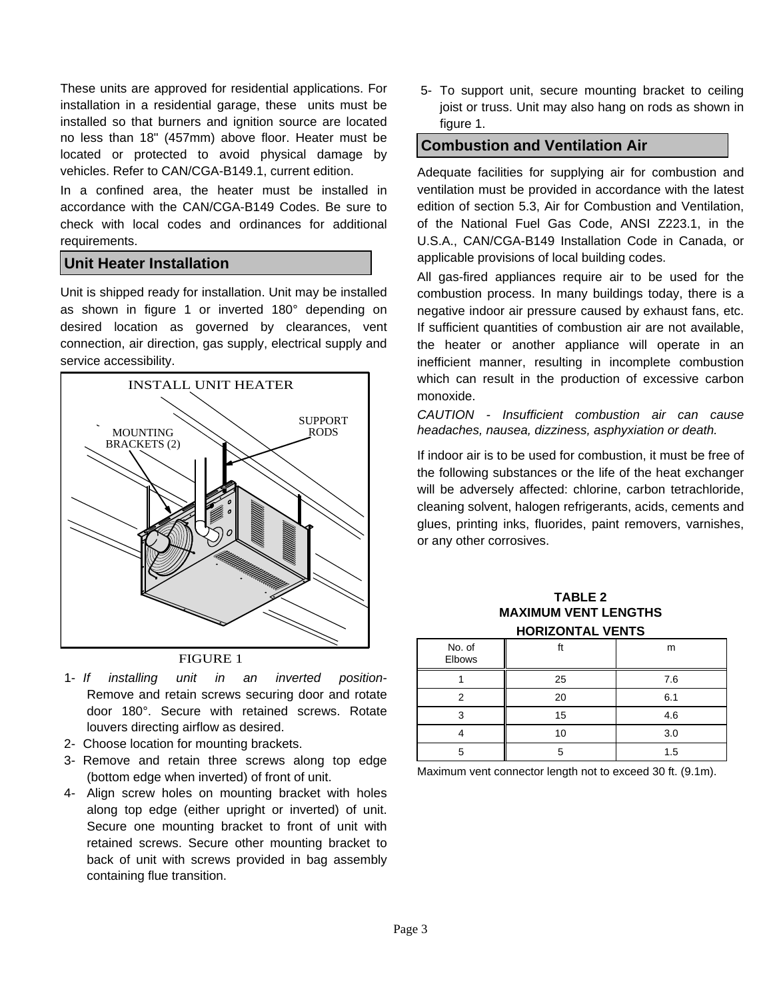These units are approved for residential applications. For installation in a residential garage, these units must be installed so that burners and ignition source are located no less than 18" (457mm) above floor. Heater must be located or protected to avoid physical damage by vehicles. Refer to CAN/CGA-B149.1, current edition.

In a confined area, the heater must be installed in accordance with the CAN/CGA-B149 Codes. Be sure to check with local codes and ordinances for additional requirements.

#### **Unit Heater Installation**

Unit is shipped ready for installation. Unit may be installed as shown in figure 1 or inverted 180° depending on desired location as governed by clearances, vent connection, air direction, gas supply, electrical supply and service accessibility.



#### FIGURE 1

- 1- *If installing unit in an inverted position-*Remove and retain screws securing door and rotate door 180°. Secure with retained screws. Rotate louvers directing airflow as desired.
- 2- Choose location for mounting brackets.
- 3- Remove and retain three screws along top edge (bottom edge when inverted) of front of unit.
- 4- Align screw holes on mounting bracket with holes along top edge (either upright or inverted) of unit. Secure one mounting bracket to front of unit with retained screws. Secure other mounting bracket to back of unit with screws provided in bag assembly containing flue transition.

5- To support unit, secure mounting bracket to ceiling joist or truss. Unit may also hang on rods as shown in figure 1.

#### **Combustion and Ventilation Air**

Adequate facilities for supplying air for combustion and ventilation must be provided in accordance with the latest edition of section 5.3, Air for Combustion and Ventilation, of the National Fuel Gas Code, ANSI Z223.1, in the U.S.A., CAN/CGA-B149 Installation Code in Canada, or applicable provisions of local building codes.

All gas-fired appliances require air to be used for the combustion process. In many buildings today, there is a negative indoor air pressure caused by exhaust fans, etc. If sufficient quantities of combustion air are not available, the heater or another appliance will operate in an inefficient manner, resulting in incomplete combustion which can result in the production of excessive carbon monoxide.

*CAUTION - Insufficient combustion air can cause headaches, nausea, dizziness, asphyxiation or death.* 

If indoor air is to be used for combustion, it must be free of the following substances or the life of the heat exchanger will be adversely affected: chlorine, carbon tetrachloride, cleaning solvent, halogen refrigerants, acids, cements and glues, printing inks, fluorides, paint removers, varnishes, or any other corrosives.

#### **TABLE 2 MAXIMUM VENT LENGTHS HORIZONTAL VENTS**

| No. of<br>Elbows | ft | m   |
|------------------|----|-----|
|                  | 25 | 7.6 |
| 2                | 20 | 6.1 |
| 3                | 15 | 4.6 |
|                  | 10 | 3.0 |
| 5                | 5  | 1.5 |

Maximum vent connector length not to exceed 30 ft. (9.1m).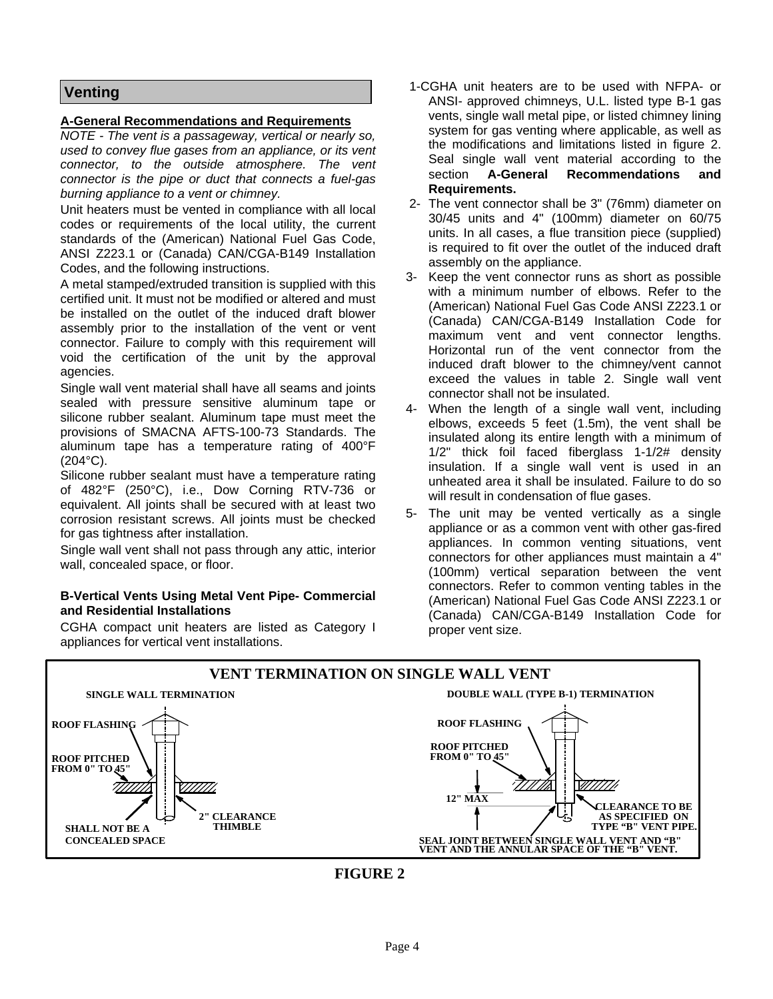#### **Venting**

#### **A-General Recommendations and Requirements**

*NOTE - The vent is a passageway, vertical or nearly so, used to convey flue gases from an appliance, or its vent connector, to the outside atmosphere. The vent connector is the pipe or duct that connects a fuel-gas burning appliance to a vent or chimney.* 

Unit heaters must be vented in compliance with all local codes or requirements of the local utility, the current standards of the (American) National Fuel Gas Code, ANSI Z223.1 or (Canada) CAN/CGA-B149 Installation Codes, and the following instructions.

A metal stamped/extruded transition is supplied with this certified unit. It must not be modified or altered and must be installed on the outlet of the induced draft blower assembly prior to the installation of the vent or vent connector. Failure to comply with this requirement will void the certification of the unit by the approval agencies.

Single wall vent material shall have all seams and joints sealed with pressure sensitive aluminum tape or silicone rubber sealant. Aluminum tape must meet the provisions of SMACNA AFTS-100-73 Standards. The aluminum tape has a temperature rating of 400°F (204°C).

Silicone rubber sealant must have a temperature rating of 482°F (250°C), i.e., Dow Corning RTV-736 or equivalent. All joints shall be secured with at least two corrosion resistant screws. All joints must be checked for gas tightness after installation.

Single wall vent shall not pass through any attic, interior wall, concealed space, or floor.

#### **B-Vertical Vents Using Metal Vent Pipe- Commercial and Residential Installations**

CGHA compact unit heaters are listed as Category I appliances for vertical vent installations.

- 1-CGHA unit heaters are to be used with NFPA- or ANSI- approved chimneys, U.L. listed type B-1 gas vents, single wall metal pipe, or listed chimney lining system for gas venting where applicable, as well as the modifications and limitations listed in figure 2. Seal single wall vent material according to the section **A-General Recommendations and Requirements.**
- 2- The vent connector shall be 3" (76mm) diameter on 30/45 units and 4" (100mm) diameter on 60/75 units. In all cases, a flue transition piece (supplied) is required to fit over the outlet of the induced draft assembly on the appliance.
- 3- Keep the vent connector runs as short as possible with a minimum number of elbows. Refer to the (American) National Fuel Gas Code ANSI Z223.1 or (Canada) CAN/CGA-B149 Installation Code for maximum vent and vent connector lengths. Horizontal run of the vent connector from the induced draft blower to the chimney/vent cannot exceed the values in table 2. Single wall vent connector shall not be insulated.
- 4- When the length of a single wall vent, including elbows, exceeds 5 feet (1.5m), the vent shall be insulated along its entire length with a minimum of 1/2" thick foil faced fiberglass 1-1/2# density insulation. If a single wall vent is used in an unheated area it shall be insulated. Failure to do so will result in condensation of flue gases.
- 5- The unit may be vented vertically as a single appliance or as a common vent with other gas-fired appliances. In common venting situations, vent connectors for other appliances must maintain a 4" (100mm) vertical separation between the vent connectors. Refer to common venting tables in the (American) National Fuel Gas Code ANSI Z223.1 or (Canada) CAN/CGA-B149 Installation Code for proper vent size.



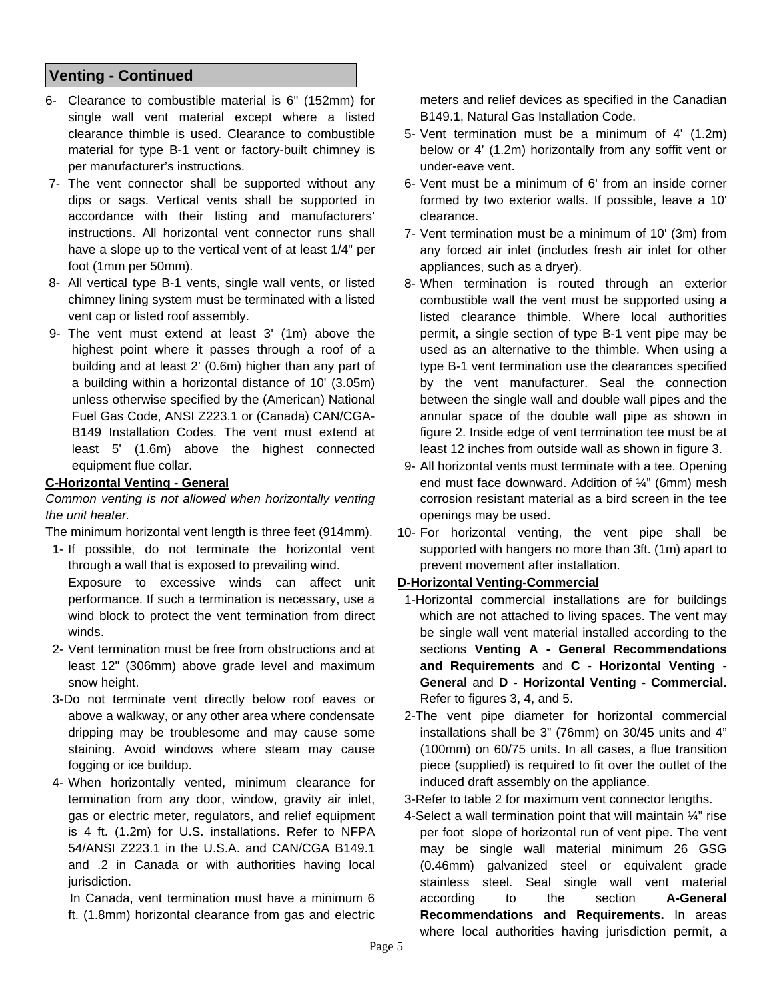#### **Venting - Continued**

- 6- Clearance to combustible material is 6" (152mm) for single wall vent material except where a listed clearance thimble is used. Clearance to combustible material for type B-1 vent or factory-built chimney is per manufacturer's instructions.
- 7- The vent connector shall be supported without any dips or sags. Vertical vents shall be supported in accordance with their listing and manufacturers' instructions. All horizontal vent connector runs shall have a slope up to the vertical vent of at least 1/4" per foot (1mm per 50mm).
- 8- All vertical type B-1 vents, single wall vents, or listed chimney lining system must be terminated with a listed vent cap or listed roof assembly.
- 9- The vent must extend at least 3' (1m) above the highest point where it passes through a roof of a building and at least 2' (0.6m) higher than any part of a building within a horizontal distance of 10' (3.05m) unless otherwise specified by the (American) National Fuel Gas Code, ANSI Z223.1 or (Canada) CAN/CGA-B149 Installation Codes. The vent must extend at least 5' (1.6m) above the highest connected equipment flue collar.

#### **C-Horizontal Venting - General**

#### *Common venting is not allowed when horizontally venting the unit heater.*

The minimum horizontal vent length is three feet (914mm).

- 1- If possible, do not terminate the horizontal vent through a wall that is exposed to prevailing wind. Exposure to excessive winds can affect unit performance. If such a termination is necessary, use a wind block to protect the vent termination from direct winds.
- 2- Vent termination must be free from obstructions and at least 12" (306mm) above grade level and maximum snow height.
- 3-Do not terminate vent directly below roof eaves or above a walkway, or any other area where condensate dripping may be troublesome and may cause some staining. Avoid windows where steam may cause fogging or ice buildup.
- 4- When horizontally vented, minimum clearance for termination from any door, window, gravity air inlet, gas or electric meter, regulators, and relief equipment is 4 ft. (1.2m) for U.S. installations. Refer to NFPA 54/ANSI Z223.1 in the U.S.A. and CAN/CGA B149.1 and .2 in Canada or with authorities having local jurisdiction.

 In Canada, vent termination must have a minimum 6 ft. (1.8mm) horizontal clearance from gas and electric meters and relief devices as specified in the Canadian B149.1, Natural Gas Installation Code.

- 5- Vent termination must be a minimum of 4' (1.2m) below or 4' (1.2m) horizontally from any soffit vent or under-eave vent.
- 6- Vent must be a minimum of 6' from an inside corner formed by two exterior walls. If possible, leave a 10' clearance.
- 7- Vent termination must be a minimum of 10' (3m) from any forced air inlet (includes fresh air inlet for other appliances, such as a dryer).
- 8- When termination is routed through an exterior combustible wall the vent must be supported using a listed clearance thimble. Where local authorities permit, a single section of type B-1 vent pipe may be used as an alternative to the thimble. When using a type B-1 vent termination use the clearances specified by the vent manufacturer. Seal the connection between the single wall and double wall pipes and the annular space of the double wall pipe as shown in figure 2. Inside edge of vent termination tee must be at least 12 inches from outside wall as shown in figure 3.
- 9- All horizontal vents must terminate with a tee. Opening end must face downward. Addition of ¼" (6mm) mesh corrosion resistant material as a bird screen in the tee openings may be used.
- 10- For horizontal venting, the vent pipe shall be supported with hangers no more than 3ft. (1m) apart to prevent movement after installation.

#### **D-Horizontal Venting-Commercial**

- 1-Horizontal commercial installations are for buildings which are not attached to living spaces. The vent may be single wall vent material installed according to the sections **Venting A - General Recommendations and Requirements** and **C - Horizontal Venting - General** and **D - Horizontal Venting - Commercial.**  Refer to figures 3, 4, and 5.
- 2-The vent pipe diameter for horizontal commercial installations shall be 3" (76mm) on 30/45 units and 4" (100mm) on 60/75 units. In all cases, a flue transition piece (supplied) is required to fit over the outlet of the induced draft assembly on the appliance.
- 3-Refer to table 2 for maximum vent connector lengths.
- 4-Select a wall termination point that will maintain  $\frac{1}{4}$ " rise per foot slope of horizontal run of vent pipe. The vent may be single wall material minimum 26 GSG (0.46mm) galvanized steel or equivalent grade stainless steel. Seal single wall vent material according to the section **A-General Recommendations and Requirements.** In areas where local authorities having jurisdiction permit, a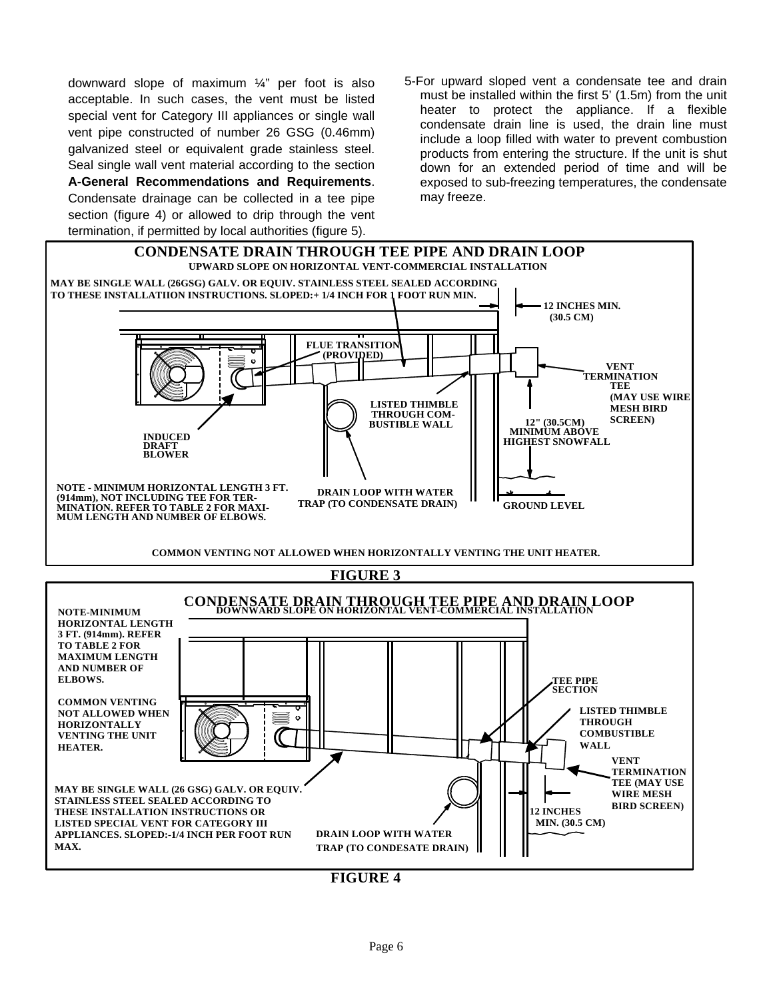downward slope of maximum ¼" per foot is also acceptable. In such cases, the vent must be listed special vent for Category III appliances or single wall vent pipe constructed of number 26 GSG (0.46mm) galvanized steel or equivalent grade stainless steel. Seal single wall vent material according to the section **A-General Recommendations and Requirements**.

Condensate drainage can be collected in a tee pipe section (figure 4) or allowed to drip through the vent termination, if permitted by local authorities (figure 5).

5-For upward sloped vent a condensate tee and drain must be installed within the first 5' (1.5m) from the unit heater to protect the appliance. If a flexible condensate drain line is used, the drain line must include a loop filled with water to prevent combustion products from entering the structure. If the unit is shut down for an extended period of time and will be exposed to sub-freezing temperatures, the condensate may freeze.



**FIGURE 4**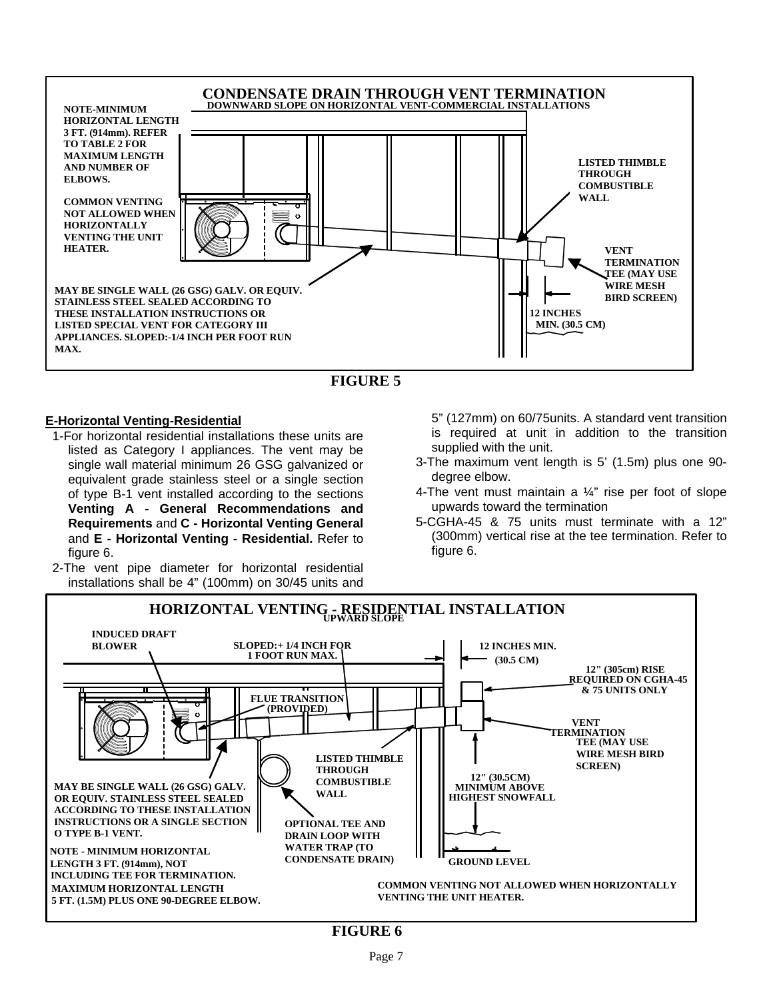



#### **E-Horizontal Venting-Residential**

- 1-For horizontal residential installations these units are listed as Category I appliances. The vent may be single wall material minimum 26 GSG galvanized or equivalent grade stainless steel or a single section of type B-1 vent installed according to the sections **Venting A - General Recommendations and Requirements** and **C - Horizontal Venting General**  and **E - Horizontal Venting - Residential.** Refer to figure 6.
- 2-The vent pipe diameter for horizontal residential installations shall be 4" (100mm) on 30/45 units and

5" (127mm) on 60/75units. A standard vent transition is required at unit in addition to the transition supplied with the unit.

- 3-The maximum vent length is 5' (1.5m) plus one 90 degree elbow.
- 4-The vent must maintain a  $\frac{1}{4}$ " rise per foot of slope upwards toward the termination
- 5-CGHA-45 & 75 units must terminate with a 12" (300mm) vertical rise at the tee termination. Refer to figure 6.



**FIGURE 6**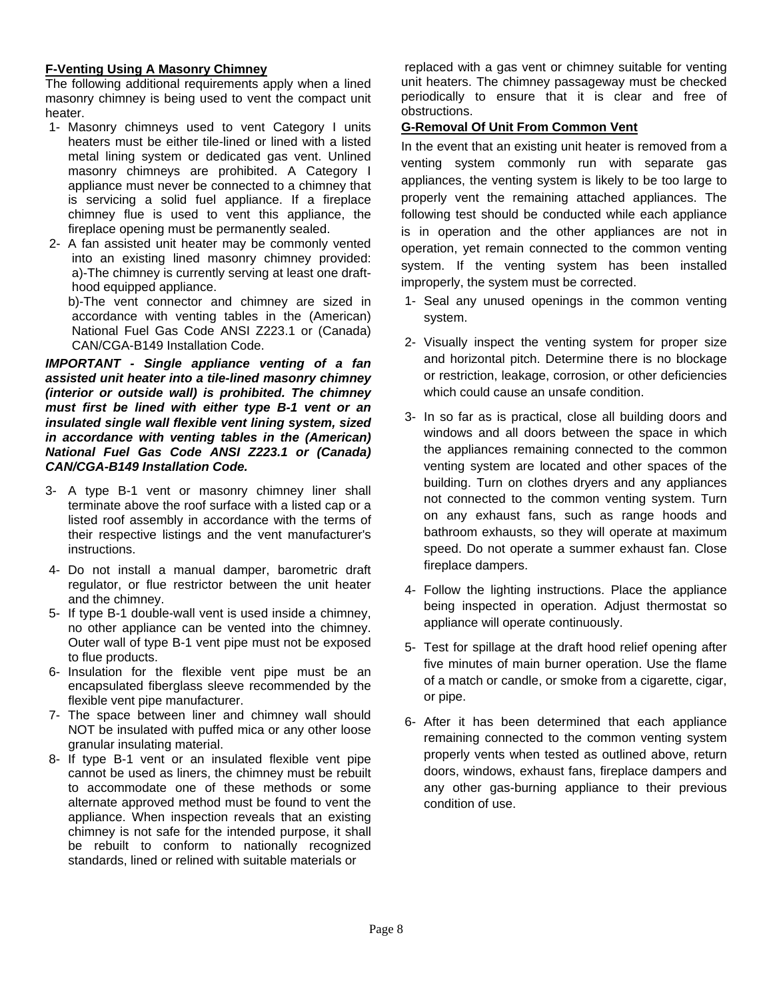#### **F-Venting Using A Masonry Chimney**

The following additional requirements apply when a lined masonry chimney is being used to vent the compact unit heater.

- 1- Masonry chimneys used to vent Category I units heaters must be either tile-lined or lined with a listed metal lining system or dedicated gas vent. Unlined masonry chimneys are prohibited. A Category I appliance must never be connected to a chimney that is servicing a solid fuel appliance. If a fireplace chimney flue is used to vent this appliance, the fireplace opening must be permanently sealed.
- 2- A fan assisted unit heater may be commonly vented into an existing lined masonry chimney provided: a)-The chimney is currently serving at least one drafthood equipped appliance.

 b)-The vent connector and chimney are sized in accordance with venting tables in the (American) National Fuel Gas Code ANSI Z223.1 or (Canada) CAN/CGA-B149 Installation Code.

#### *IMPORTANT - Single appliance venting of a fan assisted unit heater into a tile-lined masonry chimney (interior or outside wall) is prohibited. The chimney must first be lined with either type B-1 vent or an insulated single wall flexible vent lining system, sized in accordance with venting tables in the (American) National Fuel Gas Code ANSI Z223.1 or (Canada) CAN/CGA-B149 Installation Code.*

- 3- A type B-1 vent or masonry chimney liner shall terminate above the roof surface with a listed cap or a listed roof assembly in accordance with the terms of their respective listings and the vent manufacturer's instructions.
- 4- Do not install a manual damper, barometric draft regulator, or flue restrictor between the unit heater and the chimney.
- 5- If type B-1 double-wall vent is used inside a chimney, no other appliance can be vented into the chimney. Outer wall of type B-1 vent pipe must not be exposed to flue products.
- 6- Insulation for the flexible vent pipe must be an encapsulated fiberglass sleeve recommended by the flexible vent pipe manufacturer.
- 7- The space between liner and chimney wall should NOT be insulated with puffed mica or any other loose granular insulating material.
- 8- If type B-1 vent or an insulated flexible vent pipe cannot be used as liners, the chimney must be rebuilt to accommodate one of these methods or some alternate approved method must be found to vent the appliance. When inspection reveals that an existing chimney is not safe for the intended purpose, it shall be rebuilt to conform to nationally recognized standards, lined or relined with suitable materials or

 replaced with a gas vent or chimney suitable for venting unit heaters. The chimney passageway must be checked periodically to ensure that it is clear and free of obstructions.

#### **G-Removal Of Unit From Common Vent**

In the event that an existing unit heater is removed from a venting system commonly run with separate gas appliances, the venting system is likely to be too large to properly vent the remaining attached appliances. The following test should be conducted while each appliance is in operation and the other appliances are not in operation, yet remain connected to the common venting system. If the venting system has been installed improperly, the system must be corrected.

- 1- Seal any unused openings in the common venting system.
- 2- Visually inspect the venting system for proper size and horizontal pitch. Determine there is no blockage or restriction, leakage, corrosion, or other deficiencies which could cause an unsafe condition.
- 3- In so far as is practical, close all building doors and windows and all doors between the space in which the appliances remaining connected to the common venting system are located and other spaces of the building. Turn on clothes dryers and any appliances not connected to the common venting system. Turn on any exhaust fans, such as range hoods and bathroom exhausts, so they will operate at maximum speed. Do not operate a summer exhaust fan. Close fireplace dampers.
- 4- Follow the lighting instructions. Place the appliance being inspected in operation. Adjust thermostat so appliance will operate continuously.
- 5- Test for spillage at the draft hood relief opening after five minutes of main burner operation. Use the flame of a match or candle, or smoke from a cigarette, cigar, or pipe.
- 6- After it has been determined that each appliance remaining connected to the common venting system properly vents when tested as outlined above, return doors, windows, exhaust fans, fireplace dampers and any other gas-burning appliance to their previous condition of use.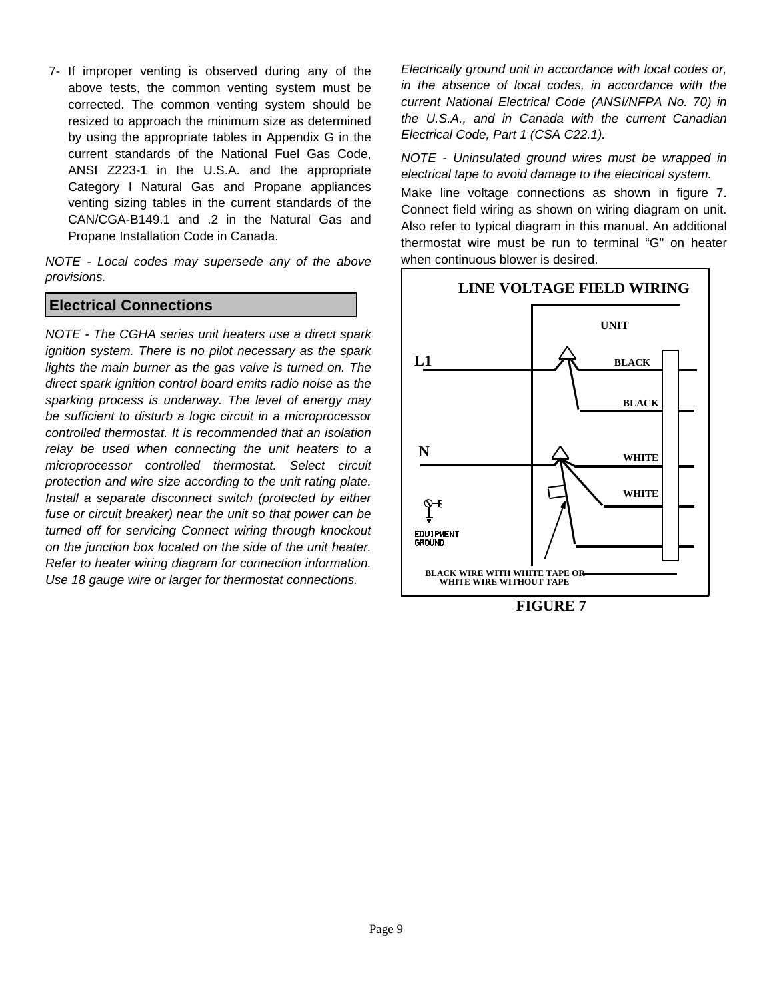7- If improper venting is observed during any of the above tests, the common venting system must be corrected. The common venting system should be resized to approach the minimum size as determined by using the appropriate tables in Appendix G in the current standards of the National Fuel Gas Code, ANSI Z223-1 in the U.S.A. and the appropriate Category I Natural Gas and Propane appliances venting sizing tables in the current standards of the CAN/CGA-B149.1 and .2 in the Natural Gas and Propane Installation Code in Canada.

*NOTE - Local codes may supersede any of the above provisions.*

#### **Electrical Connections**

*NOTE - The CGHA series unit heaters use a direct spark ignition system. There is no pilot necessary as the spark lights the main burner as the gas valve is turned on. The direct spark ignition control board emits radio noise as the sparking process is underway. The level of energy may be sufficient to disturb a logic circuit in a microprocessor controlled thermostat. It is recommended that an isolation relay be used when connecting the unit heaters to a microprocessor controlled thermostat. Select circuit protection and wire size according to the unit rating plate. Install a separate disconnect switch (protected by either fuse or circuit breaker) near the unit so that power can be turned off for servicing Connect wiring through knockout on the junction box located on the side of the unit heater. Refer to heater wiring diagram for connection information. Use 18 gauge wire or larger for thermostat connections.* 

*Electrically ground unit in accordance with local codes or, in the absence of local codes, in accordance with the current National Electrical Code (ANSI/NFPA No. 70) in the U.S.A., and in Canada with the current Canadian Electrical Code, Part 1 (CSA C22.1).* 

*NOTE - Uninsulated ground wires must be wrapped in electrical tape to avoid damage to the electrical system.* 

Make line voltage connections as shown in figure 7. Connect field wiring as shown on wiring diagram on unit. Also refer to typical diagram in this manual. An additional thermostat wire must be run to terminal "G" on heater when continuous blower is desired.



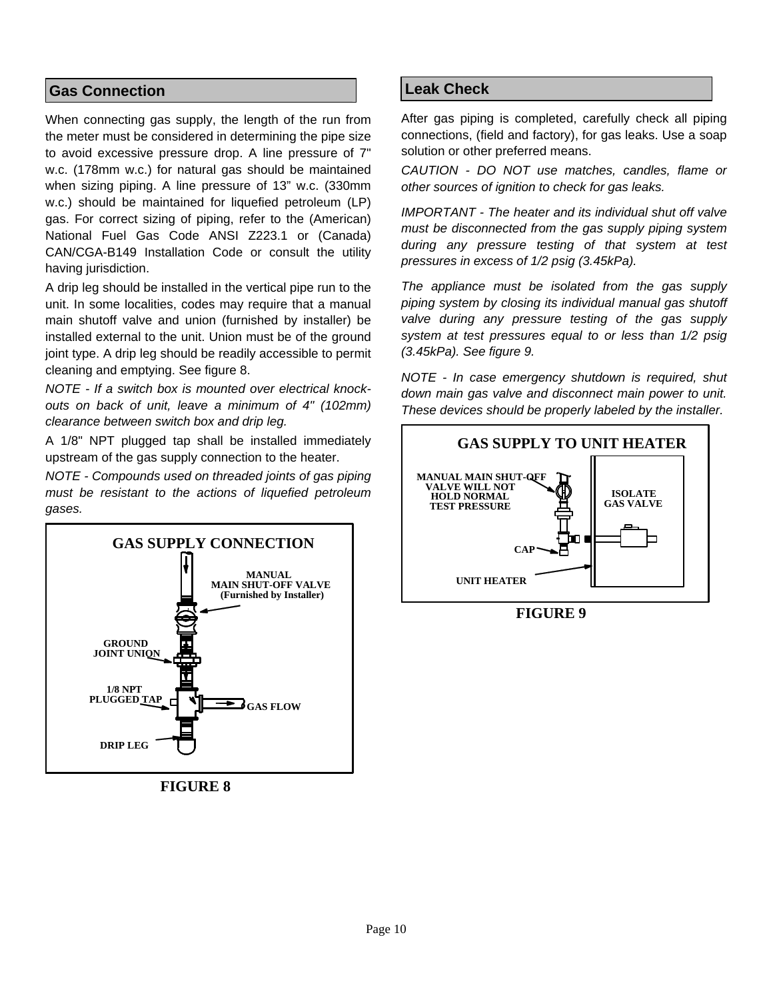#### **Gas Connection**

When connecting gas supply, the length of the run from the meter must be considered in determining the pipe size to avoid excessive pressure drop. A line pressure of 7" w.c. (178mm w.c.) for natural gas should be maintained when sizing piping. A line pressure of 13" w.c. (330mm w.c.) should be maintained for liquefied petroleum (LP) gas. For correct sizing of piping, refer to the (American) National Fuel Gas Code ANSI Z223.1 or (Canada) CAN/CGA-B149 Installation Code or consult the utility having jurisdiction.

A drip leg should be installed in the vertical pipe run to the unit. In some localities, codes may require that a manual main shutoff valve and union (furnished by installer) be installed external to the unit. Union must be of the ground joint type. A drip leg should be readily accessible to permit cleaning and emptying. See figure 8.

*NOTE - If a switch box is mounted over electrical knockouts on back of unit, leave a minimum of 4" (102mm) clearance between switch box and drip leg.* 

A 1/8" NPT plugged tap shall be installed immediately upstream of the gas supply connection to the heater.

*NOTE - Compounds used on threaded joints of gas piping must be resistant to the actions of liquefied petroleum gases.* 



**FIGURE 8**

#### **Leak Check**

After gas piping is completed, carefully check all piping connections, (field and factory), for gas leaks. Use a soap solution or other preferred means.

*CAUTION - DO NOT use matches, candles, flame or other sources of ignition to check for gas leaks.* 

*IMPORTANT - The heater and its individual shut off valve must be disconnected from the gas supply piping system during any pressure testing of that system at test pressures in excess of 1/2 psig (3.45kPa).* 

*The appliance must be isolated from the gas supply piping system by closing its individual manual gas shutoff valve during any pressure testing of the gas supply system at test pressures equal to or less than 1/2 psig (3.45kPa). See figure 9.* 

*NOTE - In case emergency shutdown is required, shut down main gas valve and disconnect main power to unit. These devices should be properly labeled by the installer.* 



**FIGURE 9**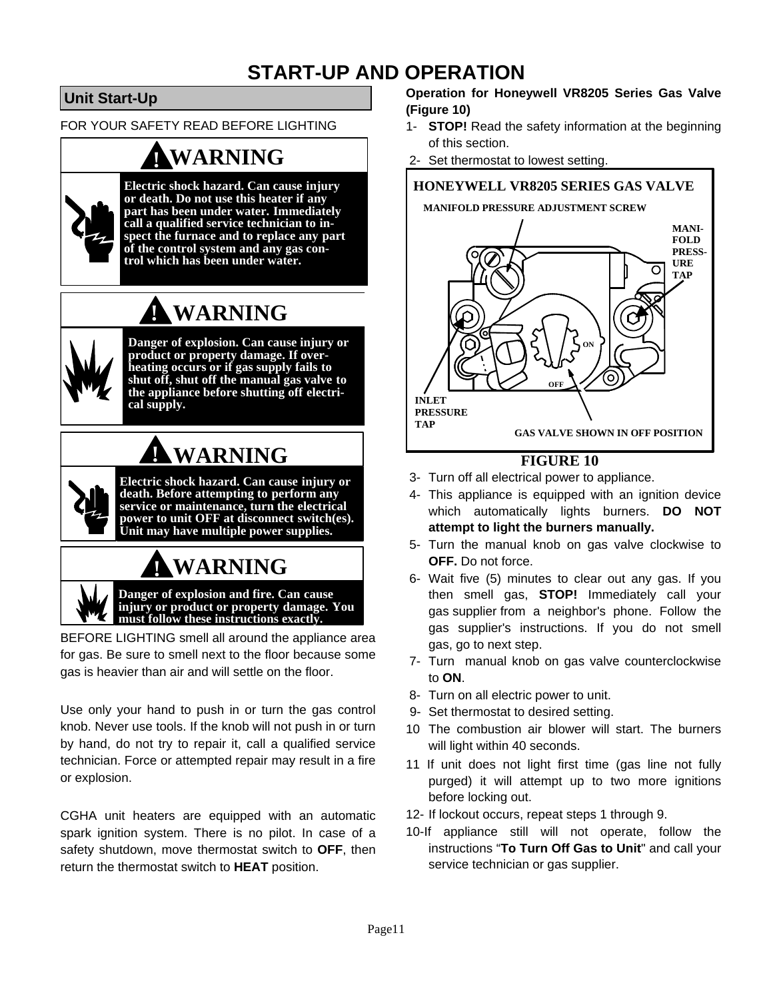## **START-UP AND OPERATION**

### **Unit Start-Up**

FOR YOUR SAFETY READ BEFORE LIGHTING

## **! WARNING**



**Electric shock hazard. Can cause injury or death. Do not use this heater if any part has been under water. Immediately call a qualified service technician to inspect the furnace and to replace any part of the control system and any gas con- trol which has been under water.**

# **! WARNING**



**Danger of explosion. Can cause injury or product or property damage. If overheating occurs or if gas supply fails to shut off, shut off the manual gas valve to the appliance before shutting off electrical supply.**

# **! WARNING**

**Electric shock hazard. Can cause injury or death. Before attempting to perform any service or maintenance, turn the electrical power to unit OFF at disconnect switch(es). Unit may have multiple power supplies.**

# **! WARNING**

**Danger of explosion and fire. Can cause injury or product or property damage. You must follow these instructions exactly.**

BEFORE LIGHTING smell all around the appliance area for gas. Be sure to smell next to the floor because some gas is heavier than air and will settle on the floor.

Use only your hand to push in or turn the gas control knob. Never use tools. If the knob will not push in or turn by hand, do not try to repair it, call a qualified service technician. Force or attempted repair may result in a fire or explosion.

CGHA unit heaters are equipped with an automatic spark ignition system. There is no pilot. In case of a safety shutdown, move thermostat switch to **OFF**, then return the thermostat switch to **HEAT** position.

#### **Operation for Honeywell VR8205 Series Gas Valve (Figure 10)**

- 1- **STOP!** Read the safety information at the beginning of this section.
- 2- Set thermostat to lowest setting.



#### **FIGURE 10**

- 3- Turn off all electrical power to appliance.
- 4- This appliance is equipped with an ignition device which automatically lights burners. **DO NOT attempt to light the burners manually.**
- 5- Turn the manual knob on gas valve clockwise to **OFF.** Do not force.
- 6- Wait five (5) minutes to clear out any gas. If you then smell gas, **STOP!** Immediately call your gas supplier from a neighbor's phone. Follow the gas supplier's instructions. If you do not smell gas, go to next step.
- 7- Turn manual knob on gas valve counterclockwise to **ON**.
- 8- Turn on all electric power to unit.
- 9- Set thermostat to desired setting.
- 10 The combustion air blower will start. The burners will light within 40 seconds.
- 11 If unit does not light first time (gas line not fully purged) it will attempt up to two more ignitions before locking out.
- 12- If lockout occurs, repeat steps 1 through 9.
- 10-If appliance still will not operate, follow the instructions "**To Turn Off Gas to Unit**" and call your service technician or gas supplier.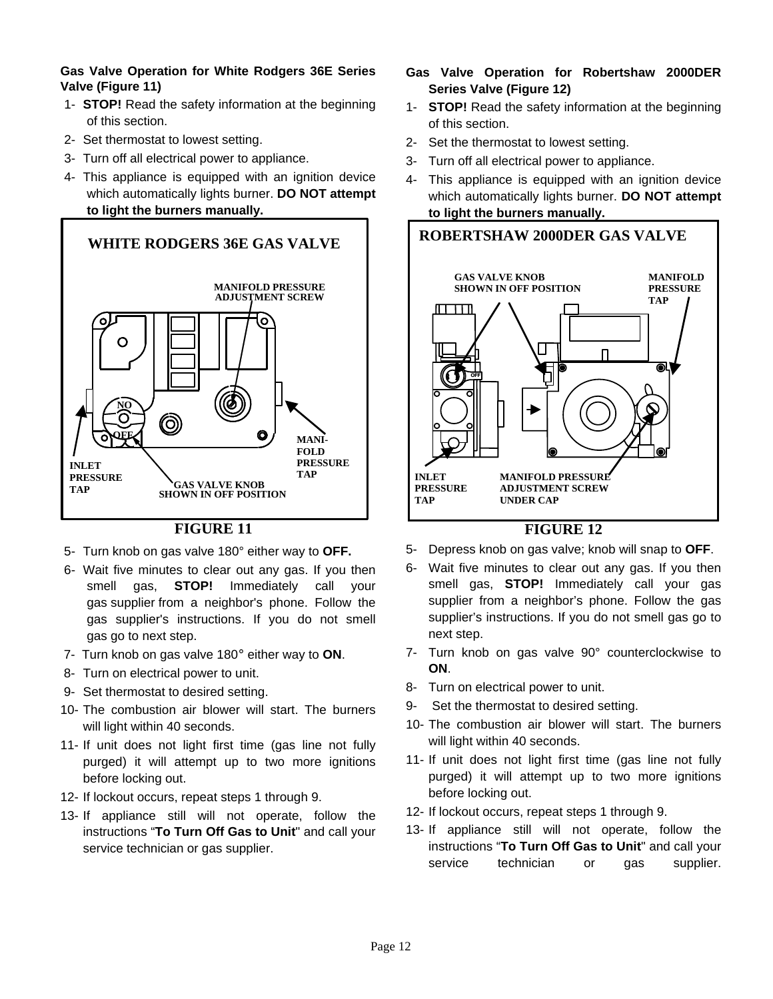#### **Gas Valve Operation for White Rodgers 36E Series Valve (Figure 11)**

- 1- **STOP!** Read the safety information at the beginning of this section.
- 2- Set thermostat to lowest setting.
- 3- Turn off all electrical power to appliance.
- 4- This appliance is equipped with an ignition device which automatically lights burner. **DO NOT attempt to light the burners manually.**



#### **FIGURE 11**

- 5- Turn knob on gas valve 180° either way to **OFF.**
- 6- Wait five minutes to clear out any gas. If you then smell gas, **STOP!** Immediately call your gas supplier from a neighbor's phone. Follow the gas supplier's instructions. If you do not smell gas go to next step.
- 7- Turn knob on gas valve 180° either way to **ON**.
- 8- Turn on electrical power to unit.
- 9- Set thermostat to desired setting.
- 10- The combustion air blower will start. The burners will light within 40 seconds.
- 11- If unit does not light first time (gas line not fully purged) it will attempt up to two more ignitions before locking out.
- 12- If lockout occurs, repeat steps 1 through 9.
- 13- If appliance still will not operate, follow the instructions "**To Turn Off Gas to Unit**" and call your service technician or gas supplier.
- **Gas Valve Operation for Robertshaw 2000DER Series Valve (Figure 12)**
- 1- **STOP!** Read the safety information at the beginning of this section.
- 2- Set the thermostat to lowest setting.
- 3- Turn off all electrical power to appliance.
- 4- This appliance is equipped with an ignition device which automatically lights burner. **DO NOT attempt to light the burners manually.**



#### **FIGURE 12**

- 5- Depress knob on gas valve; knob will snap to **OFF**.
- 6- Wait five minutes to clear out any gas. If you then smell gas, **STOP!** Immediately call your gas supplier from a neighbor's phone. Follow the gas supplier's instructions. If you do not smell gas go to next step.
- 7- Turn knob on gas valve 90° counterclockwise to **ON**.
- 8- Turn on electrical power to unit.
- 9- Set the thermostat to desired setting.
- 10- The combustion air blower will start. The burners will light within 40 seconds.
- 11- If unit does not light first time (gas line not fully purged) it will attempt up to two more ignitions before locking out.
- 12- If lockout occurs, repeat steps 1 through 9.
- 13- If appliance still will not operate, follow the instructions "**To Turn Off Gas to Unit**" and call your service technician or gas supplier.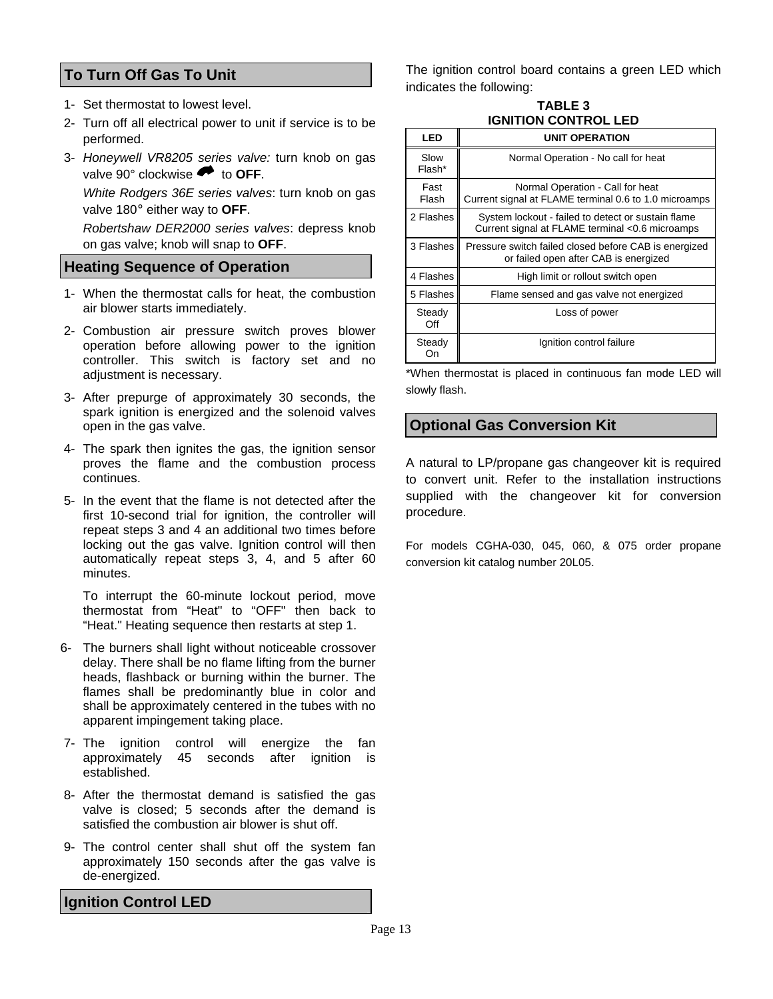#### **To Turn Off Gas To Unit**

- 1- Set thermostat to lowest level.
- 2- Turn off all electrical power to unit if service is to be performed.
- 3- *Honeywell VR8205 series valve:* turn knob on gas valve 90° clockwise  $\bullet$  to **OFF**.

*White Rodgers 36E series valves*: turn knob on gas valve 180° either way to **OFF**.

*Robertshaw DER2000 series valves*: depress knob on gas valve; knob will snap to **OFF**.

#### **Heating Sequence of Operation**

- 1- When the thermostat calls for heat, the combustion air blower starts immediately.
- 2- Combustion air pressure switch proves blower operation before allowing power to the ignition controller. This switch is factory set and no adjustment is necessary.
- 3- After prepurge of approximately 30 seconds, the spark ignition is energized and the solenoid valves open in the gas valve.
- 4- The spark then ignites the gas, the ignition sensor proves the flame and the combustion process continues.
- 5- In the event that the flame is not detected after the first 10-second trial for ignition, the controller will repeat steps 3 and 4 an additional two times before locking out the gas valve. Ignition control will then automatically repeat steps 3, 4, and 5 after 60 minutes.

To interrupt the 60-minute lockout period, move thermostat from "Heat" to "OFF" then back to "Heat." Heating sequence then restarts at step 1.

- 6- The burners shall light without noticeable crossover delay. There shall be no flame lifting from the burner heads, flashback or burning within the burner. The flames shall be predominantly blue in color and shall be approximately centered in the tubes with no apparent impingement taking place.
- 7- The ignition control will energize the fan approximately 45 seconds after ignition is established.
- 8- After the thermostat demand is satisfied the gas valve is closed; 5 seconds after the demand is satisfied the combustion air blower is shut off.
- 9- The control center shall shut off the system fan approximately 150 seconds after the gas valve is de-energized.

**Ignition Control LED** 

The ignition control board contains a green LED which indicates the following:

**TABLE 3 IGNITION CONTROL LED** 

| LED            | <b>UNIT OPERATION</b>                                                                                 |
|----------------|-------------------------------------------------------------------------------------------------------|
| Slow<br>Flash* | Normal Operation - No call for heat                                                                   |
| Fast<br>Flash  | Normal Operation - Call for heat<br>Current signal at FLAME terminal 0.6 to 1.0 microamps             |
| 2 Flashes      | System lockout - failed to detect or sustain flame<br>Current signal at FLAME terminal <0.6 microamps |
| 3 Flashes      | Pressure switch failed closed before CAB is energized<br>or failed open after CAB is energized        |
| 4 Flashes      | High limit or rollout switch open                                                                     |
| 5 Flashes      | Flame sensed and gas valve not energized                                                              |
| Steady<br>Off  | Loss of power                                                                                         |
| Steady<br>On   | Ignition control failure                                                                              |

\*When thermostat is placed in continuous fan mode LED will slowly flash.

#### **Optional Gas Conversion Kit**

A natural to LP/propane gas changeover kit is required to convert unit. Refer to the installation instructions supplied with the changeover kit for conversion procedure.

For models CGHA-030, 045, 060, & 075 order propane conversion kit catalog number 20L05.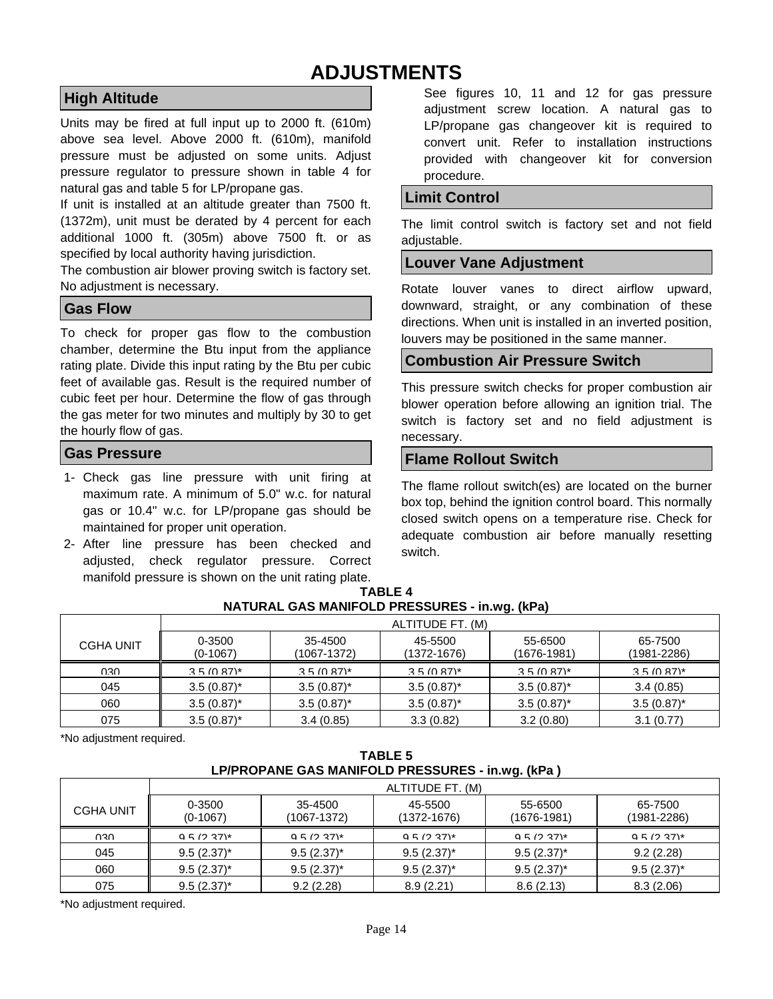### **ADJUSTMENTS**

#### **High Altitude**

Units may be fired at full input up to 2000 ft. (610m) above sea level. Above 2000 ft. (610m), manifold pressure must be adjusted on some units. Adjust pressure regulator to pressure shown in table 4 for natural gas and table 5 for LP/propane gas.

If unit is installed at an altitude greater than 7500 ft. (1372m), unit must be derated by 4 percent for each additional 1000 ft. (305m) above 7500 ft. or as specified by local authority having jurisdiction.

The combustion air blower proving switch is factory set. No adjustment is necessary.

#### **Gas Flow**

To check for proper gas flow to the combustion chamber, determine the Btu input from the appliance rating plate. Divide this input rating by the Btu per cubic feet of available gas. Result is the required number of cubic feet per hour. Determine the flow of gas through the gas meter for two minutes and multiply by 30 to get the hourly flow of gas.

#### **Gas Pressure**

- 1- Check gas line pressure with unit firing at maximum rate. A minimum of 5.0" w.c. for natural gas or 10.4" w.c. for LP/propane gas should be maintained for proper unit operation.
- 2- After line pressure has been checked and adjusted, check regulator pressure. Correct manifold pressure is shown on the unit rating plate.

See figures 10, 11 and 12 for gas pressure adjustment screw location. A natural gas to LP/propane gas changeover kit is required to convert unit. Refer to installation instructions provided with changeover kit for conversion procedure.

#### **Limit Control**

The limit control switch is factory set and not field adjustable.

#### **Louver Vane Adjustment**

Rotate louver vanes to direct airflow upward, downward, straight, or any combination of these directions. When unit is installed in an inverted position, louvers may be positioned in the same manner.

#### **Combustion Air Pressure Switch**

This pressure switch checks for proper combustion air blower operation before allowing an ignition trial. The switch is factory set and no field adjustment is necessary.

#### **Flame Rollout Switch**

The flame rollout switch(es) are located on the burner box top, behind the ignition control board. This normally closed switch opens on a temperature rise. Check for adequate combustion air before manually resetting switch.

|                  |                      |                        | ALTITUDE FT. (M)       |                        |                        |
|------------------|----------------------|------------------------|------------------------|------------------------|------------------------|
| <b>CGHA UNIT</b> | 0-3500<br>$(0-1067)$ | 35-4500<br>(1067-1372) | 45-5500<br>(1372-1676) | 55-6500<br>(1676-1981) | 65-7500<br>(1981-2286) |
| nsu              | $3.5(0.87)^*$        | $3.5(0.87)^*$          | $3.5(0.87)^*$          | $3.5(0.87)^*$          | $3.5(0.87)^*$          |
| 045              | $3.5(0.87)^{*}$      | $3.5(0.87)^{*}$        | $3.5(0.87)^{*}$        | $3.5(0.87)^{*}$        | 3.4(0.85)              |
| 060              | $3.5(0.87)^{*}$      | $3.5(0.87)^{*}$        | $3.5(0.87)^{*}$        | $3.5(0.87)^*$          | $3.5(0.87)^{*}$        |
| 075              | $3.5(0.87)^{*}$      | 3.4(0.85)              | 3.3(0.82)              | 3.2(0.80)              | 3.1(0.77)              |

#### **TABLE 4 NATURAL GAS MANIFOLD PRESSURES - in.wg. (kPa)**

\*No adjustment required.

| <b>TABLE 5</b>                                   |
|--------------------------------------------------|
| LP/PROPANE GAS MANIFOLD PRESSURES - in.wg. (kPa) |

|                  | ALTITUDE FT. (M)     |                        |                        |                            |                            |  |  |
|------------------|----------------------|------------------------|------------------------|----------------------------|----------------------------|--|--|
| <b>CGHA UNIT</b> | 0-3500<br>$(0-1067)$ | 35-4500<br>(1067-1372) | 45-5500<br>(1372-1676) | 55-6500<br>$(1676 - 1981)$ | 65-7500<br>$(1981 - 2286)$ |  |  |
| റദ്ധ             | $95(237)^*$          | 95/237                 | $95(237)^*$            | $95(237)^*$                | $95(237)$ *                |  |  |
| 045              | $9.5(2.37)^{*}$      | $9.5(2.37)^*$          | $9.5(2.37)^{*}$        | $9.5(2.37)^*$              | 9.2(2.28)                  |  |  |
| 060              | $9.5(2.37)^*$        | $9.5(2.37)^{*}$        | $9.5(2.37)^{*}$        | $9.5(2.37)^{*}$            | $9.5(2.37)^{*}$            |  |  |
| 075              | $9.5(2.37)^{*}$      | 9.2(2.28)              | 8.9(2.21)              | 8.6(2.13)                  | 8.3(2.06)                  |  |  |

\*No adjustment required.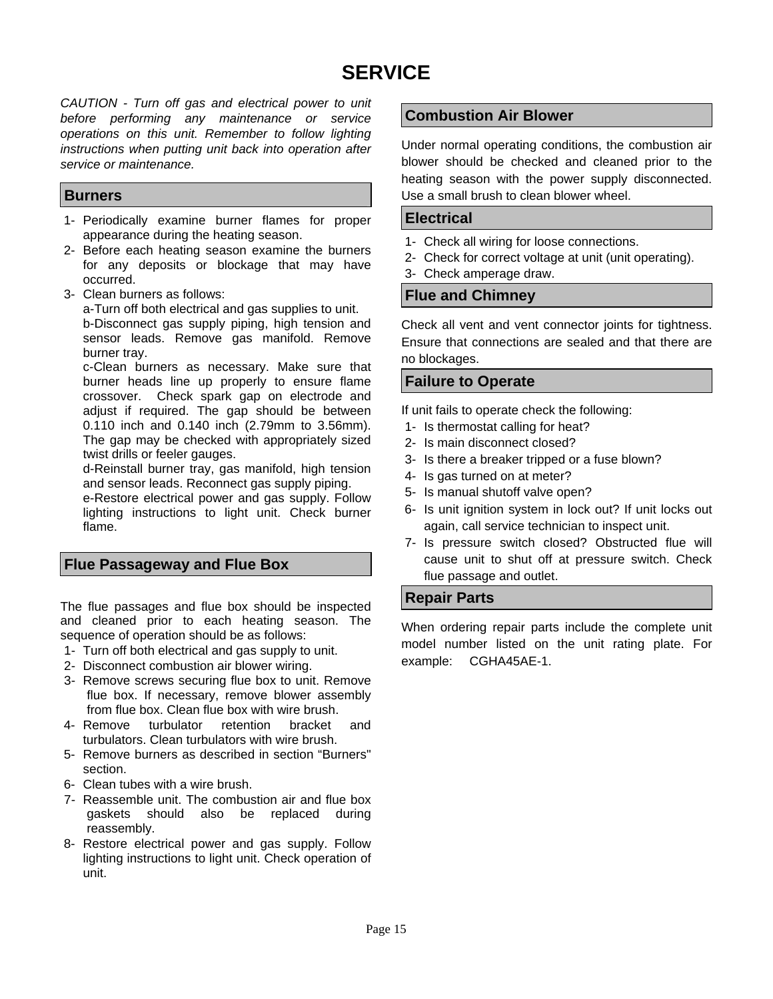## **SERVICE**

*CAUTION - Turn off gas and electrical power to unit before performing any maintenance or service operations on this unit. Remember to follow lighting instructions when putting unit back into operation after service or maintenance.* 

#### **Burners**

- 1- Periodically examine burner flames for proper appearance during the heating season.
- 2- Before each heating season examine the burners for any deposits or blockage that may have occurred.
- 3- Clean burners as follows:

a-Turn off both electrical and gas supplies to unit. b-Disconnect gas supply piping, high tension and sensor leads. Remove gas manifold. Remove burner tray.

c-Clean burners as necessary. Make sure that burner heads line up properly to ensure flame crossover. Check spark gap on electrode and adjust if required. The gap should be between 0.110 inch and 0.140 inch (2.79mm to 3.56mm). The gap may be checked with appropriately sized twist drills or feeler gauges.

d-Reinstall burner tray, gas manifold, high tension and sensor leads. Reconnect gas supply piping.

e-Restore electrical power and gas supply. Follow lighting instructions to light unit. Check burner flame.

#### **Flue Passageway and Flue Box**

The flue passages and flue box should be inspected and cleaned prior to each heating season. The sequence of operation should be as follows:

- 1- Turn off both electrical and gas supply to unit.
- 2- Disconnect combustion air blower wiring.
- 3- Remove screws securing flue box to unit. Remove flue box. If necessary, remove blower assembly from flue box. Clean flue box with wire brush.
- 4- Remove turbulator retention bracket and turbulators. Clean turbulators with wire brush.
- 5- Remove burners as described in section "Burners" section.
- 6- Clean tubes with a wire brush.
- 7- Reassemble unit. The combustion air and flue box gaskets should also be replaced during reassembly.
- 8- Restore electrical power and gas supply. Follow lighting instructions to light unit. Check operation of unit.

#### **Combustion Air Blower**

Under normal operating conditions, the combustion air blower should be checked and cleaned prior to the heating season with the power supply disconnected. Use a small brush to clean blower wheel.

#### **Electrical**

- 1- Check all wiring for loose connections.
- 2- Check for correct voltage at unit (unit operating).
- 3- Check amperage draw.

#### **Flue and Chimney**

Check all vent and vent connector joints for tightness. Ensure that connections are sealed and that there are no blockages.

#### **Failure to Operate**

If unit fails to operate check the following:

- 1- Is thermostat calling for heat?
- 2- Is main disconnect closed?
- 3- Is there a breaker tripped or a fuse blown?
- 4- Is gas turned on at meter?
- 5- Is manual shutoff valve open?
- 6- Is unit ignition system in lock out? If unit locks out again, call service technician to inspect unit.
- 7- Is pressure switch closed? Obstructed flue will cause unit to shut off at pressure switch. Check flue passage and outlet.

#### **Repair Parts**

When ordering repair parts include the complete unit model number listed on the unit rating plate. For example: CGHA45AE-1.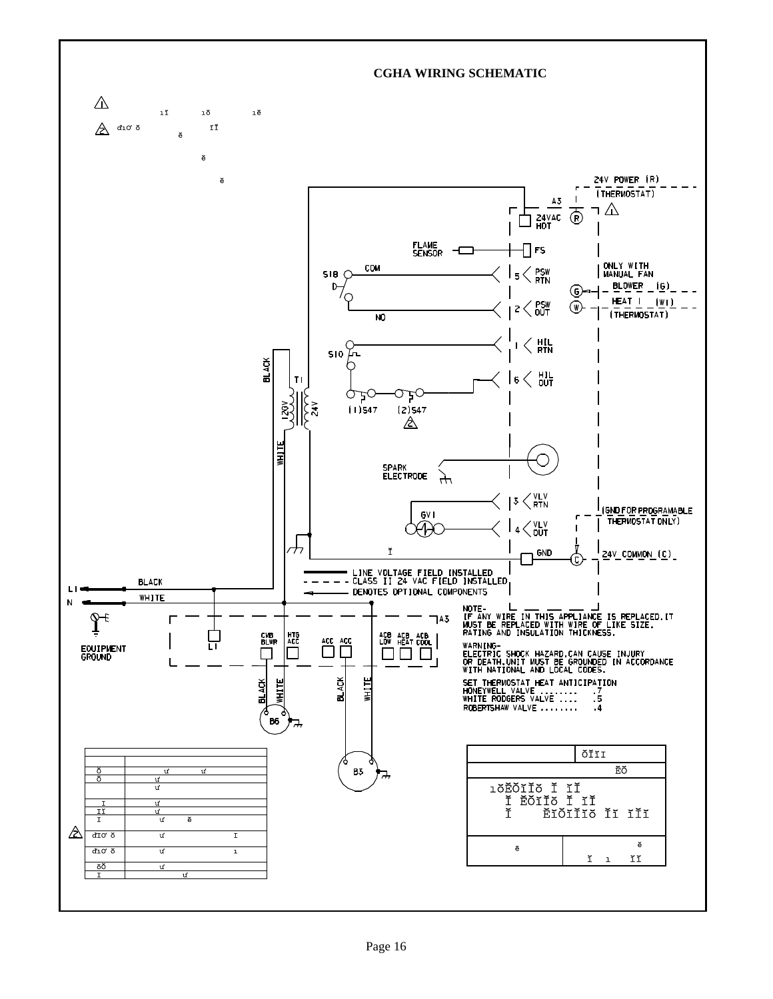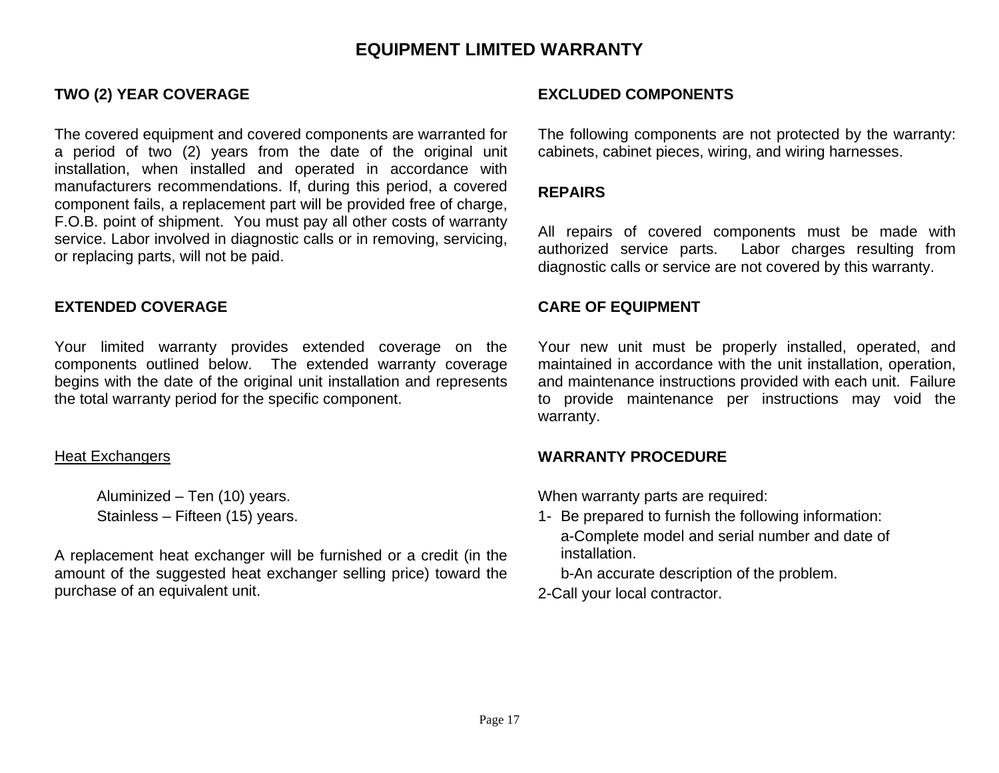### **EQUIPMENT LIMITED WARRANTY**

The covered equipment and covered components are warranted for a period of two (2) years from the date of the original unit installation, when installed and operated in accordance with manufacturers recommendations. If, during this period, a covered component fails, a replacement part will be provided free of charge, F.O.B. point of shipment. You must pay all other costs of warranty service. Labor involved in diagnostic calls or in removing, servicing, or replacing parts, will not be paid.

#### **EXTENDED COVERAGE CARE OF EQUIPMENT**

Your limited warranty provides extended coverage on the components outlined below. The extended warranty coverage begins with the date of the original unit installation and represents the total warranty period for the specific component.

#### Heat Exchangers

 Aluminized – Ten (10) years. Stainless – Fifteen (15) years.

A replacement heat exchanger will be furnished or a credit (in the amount of the suggested heat exchanger selling price) toward the purchase of an equivalent unit.

#### TWO (2) YEAR COVERAGE **EXCLUDED COMPONENTS**

The following components are not protected by the warranty: cabinets, cabinet pieces, wiring, and wiring harnesses.

#### **REPAIRS**

All repairs of covered components must be made with authorized service parts. Labor charges resulting from diagnostic calls or service are not covered by this warranty.

Your new unit must be properly installed, operated, and maintained in accordance with the unit installation, operation, and maintenance instructions provided with each unit. Failure to provide maintenance per instructions may void the warranty.

#### **WARRANTY PROCEDURE**

When warranty parts are required:

1- Be prepared to furnish the following information: a-Complete model and serial number and date of installation.

b-An accurate description of the problem.

2-Call your local contractor.